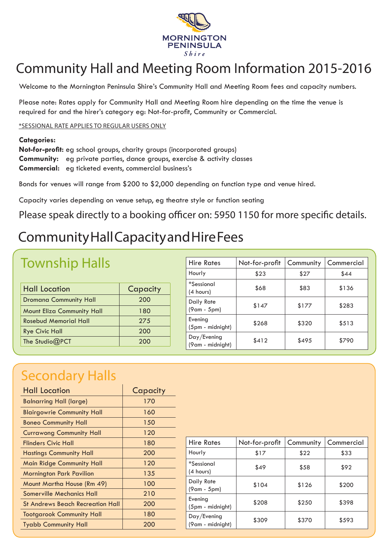

# Community Hall and Meeting Room Information 2015-2016

Welcome to the Mornington Peninsula Shire's Community Hall and Meeting Room fees and capacity numbers.

Please note: Rates apply for Community Hall and Meeting Room hire depending on the time the venue is required for and the hirer's category eg: Not-for-profit, Community or Commercial.

\*SESSIONAL RATE APPLIES TO REGULAR USERS ONLY

#### **Categories:**

**Not-for-profit:** eg school groups, charity groups (incorporated groups) **Community:** eg private parties, dance groups, exercise & activity classes **Commercial:** eg ticketed events, commercial business's

Bonds for venues will range from \$200 to \$2,000 depending on function type and venue hired.

Capacity varies depending on venue setup, eg theatre style or function seating

Please speak directly to a booking officer on: 5950 1150 for more specific details.

## Community Hall Capacity and Hire Fees

#### Township Halls

| <b>Hall Location</b>              | Capacity |
|-----------------------------------|----------|
| <b>Dromana Community Hall</b>     | 200      |
| <b>Mount Eliza Community Hall</b> | 180      |
| <b>Rosebud Memorial Hall</b>      | 275      |
| <b>Rye Civic Hall</b>             | 200      |
| The Studio@PCT                    | 200      |

| Not-for-profit | Community | Commercial |
|----------------|-----------|------------|
| \$23           | \$27      | \$44       |
| \$68           | \$83      | \$136      |
| \$147          | \$177     | \$283      |
| \$268          | \$320     | \$513      |
| \$412          | \$495     | \$790      |
|                |           |            |

#### Secondary Halls

| <b>Hall Location</b>              | Capacity |
|-----------------------------------|----------|
| <b>Balnarring Hall (large)</b>    | 170      |
| <b>Blairgowrie Community Hall</b> | 160      |
| <b>Boneo Community Hall</b>       | 150      |
| <b>Currawong Community Hall</b>   | 120      |
| Flinders Civic Hall               | 180      |
| <b>Hastings Community Hall</b>    | 200      |
| <b>Main Ridge Community Hall</b>  | 120      |
| <b>Mornington Park Pavilion</b>   | 135      |
| Mount Martha House (Rm 49)        | 100      |
| Somerville Mechanics Hall         | 210      |
| St Andrews Beach Recreation Hall  | 200      |
| <b>Tootgarook Community Hall</b>  | 180      |
| <b>Tyabb Community Hall</b>       | 200      |
|                                   |          |

| <b>Hire Rates</b>               | Not-for-profit | Community | Commercial |
|---------------------------------|----------------|-----------|------------|
| Hourly                          | \$17           | \$22      | \$33       |
| <i>*Sessional</i><br>(4 hours)  | \$49           | \$58      | \$92       |
| Daily Rate<br>(9am - 5pm)       | \$104          | \$126     | \$200      |
| Evening<br>(5pm - midnight)     | \$208          | \$250     | \$398      |
| Day/Evening<br>(9am - midnight) | \$309          | \$370     | \$593      |
|                                 |                |           |            |